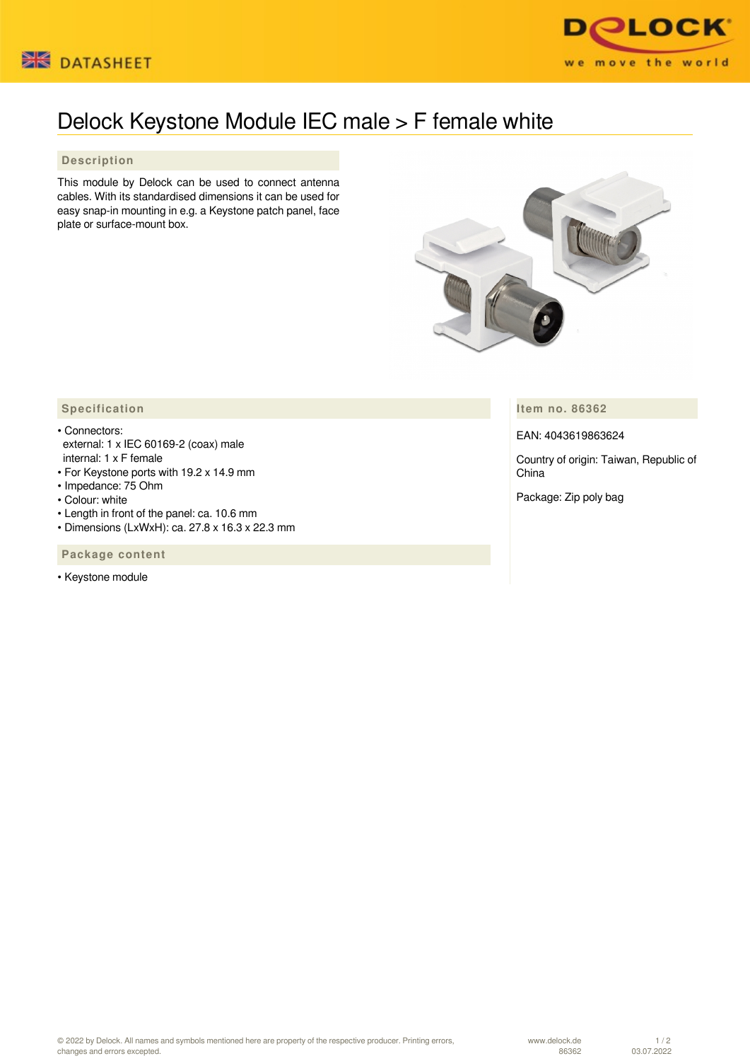



## Delock Keystone Module IEC male > F female white

## **Description**

This module by Delock can be used to connect antenna cables. With its standardised dimensions it can be used for easy snap-in mounting in e.g. a Keystone patch panel, face plate or surface-mount box.



**Item no. 86362**

EAN: 4043619863624

Country of origin: Taiwan, Republic of China

Package: Zip poly bag

## **Specification**

- Connectors: external: 1 x IEC 60169-2 (coax) male internal: 1 x F female
- For Keystone ports with 19.2 x 14.9 mm
- Impedance: 75 Ohm
- Colour: white
- Length in front of the panel: ca. 10.6 mm
- Dimensions (LxWxH): ca. 27.8 x 16.3 x 22.3 mm

 **Package content**

• Keystone module